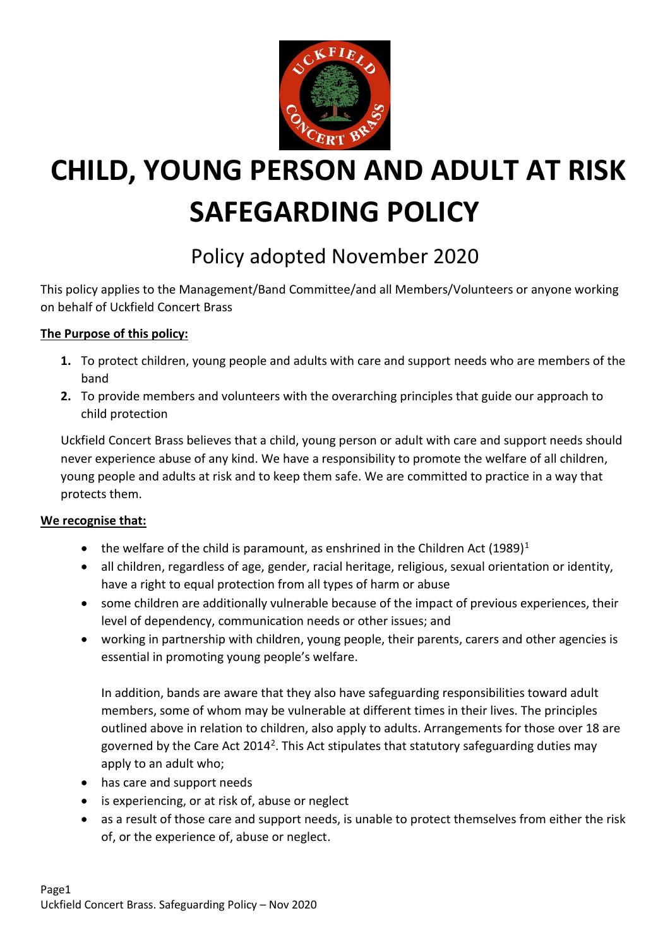

# **CHILD, YOUNG PERSON AND ADULT AT RISK SAFEGARDING POLICY**

# Policy adopted November 2020

This policy applies to the Management/Band Committee/and all Members/Volunteers or anyone working on behalf of Uckfield Concert Brass

#### **The Purpose of this policy:**

- **1.** To protect children, young people and adults with care and support needs who are members of the band
- **2.** To provide members and volunteers with the overarching principles that guide our approach to child protection

Uckfield Concert Brass believes that a child, young person or adult with care and support needs should never experience abuse of any kind. We have a responsibility to promote the welfare of all children, young people and adults at risk and to keep them safe. We are committed to practice in a way that protects them.

#### **We recognise that:**

- the welfare of the child is paramount, as enshrined in the Children Act  $(1989)^1$
- all children, regardless of age, gender, racial heritage, religious, sexual orientation or identity, have a right to equal protection from all types of harm or abuse
- some children are additionally vulnerable because of the impact of previous experiences, their level of dependency, communication needs or other issues; and
- working in partnership with children, young people, their parents, carers and other agencies is essential in promoting young people's welfare.

In addition, bands are aware that they also have safeguarding responsibilities toward adult members, some of whom may be vulnerable at different times in their lives. The principles outlined above in relation to children, also apply to adults. Arrangements for those over 18 are governed by the Care Act 2014<sup>2</sup>. This Act stipulates that statutory safeguarding duties may apply to an adult who;

- has care and support needs
- is experiencing, or at risk of, abuse or neglect
- as a result of those care and support needs, is unable to protect themselves from either the risk of, or the experience of, abuse or neglect.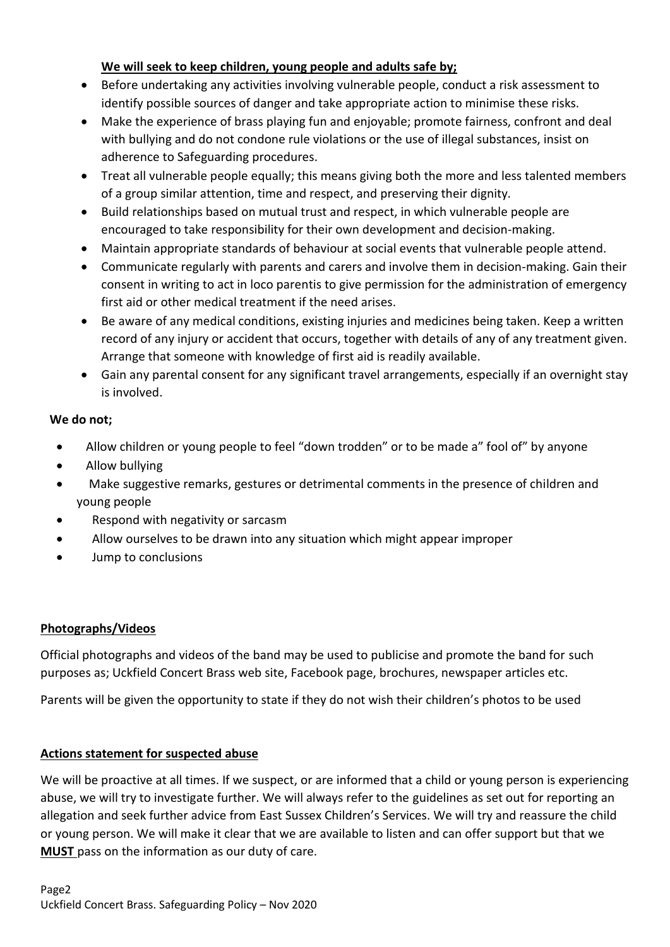#### **We will seek to keep children, young people and adults safe by;**

- Before undertaking any activities involving vulnerable people, conduct a risk assessment to identify possible sources of danger and take appropriate action to minimise these risks.
- Make the experience of brass playing fun and enjoyable; promote fairness, confront and deal with bullying and do not condone rule violations or the use of illegal substances, insist on adherence to Safeguarding procedures.
- Treat all vulnerable people equally; this means giving both the more and less talented members of a group similar attention, time and respect, and preserving their dignity.
- Build relationships based on mutual trust and respect, in which vulnerable people are encouraged to take responsibility for their own development and decision-making.
- Maintain appropriate standards of behaviour at social events that vulnerable people attend.
- Communicate regularly with parents and carers and involve them in decision-making. Gain their consent in writing to act in loco parentis to give permission for the administration of emergency first aid or other medical treatment if the need arises.
- Be aware of any medical conditions, existing injuries and medicines being taken. Keep a written record of any injury or accident that occurs, together with details of any of any treatment given. Arrange that someone with knowledge of first aid is readily available.
- Gain any parental consent for any significant travel arrangements, especially if an overnight stay is involved.

#### **We do not;**

- Allow children or young people to feel "down trodden" or to be made a" fool of" by anyone
- Allow bullying
- Make suggestive remarks, gestures or detrimental comments in the presence of children and young people
- Respond with negativity or sarcasm
- Allow ourselves to be drawn into any situation which might appear improper
- Jump to conclusions

#### **Photographs/Videos**

Official photographs and videos of the band may be used to publicise and promote the band for such purposes as; Uckfield Concert Brass web site, Facebook page, brochures, newspaper articles etc.

Parents will be given the opportunity to state if they do not wish their children's photos to be used

#### **Actions statement for suspected abuse**

We will be proactive at all times. If we suspect, or are informed that a child or young person is experiencing abuse, we will try to investigate further. We will always refer to the guidelines as set out for reporting an allegation and seek further advice from East Sussex Children's Services. We will try and reassure the child or young person. We will make it clear that we are available to listen and can offer support but that we **MUST** pass on the information as our duty of care.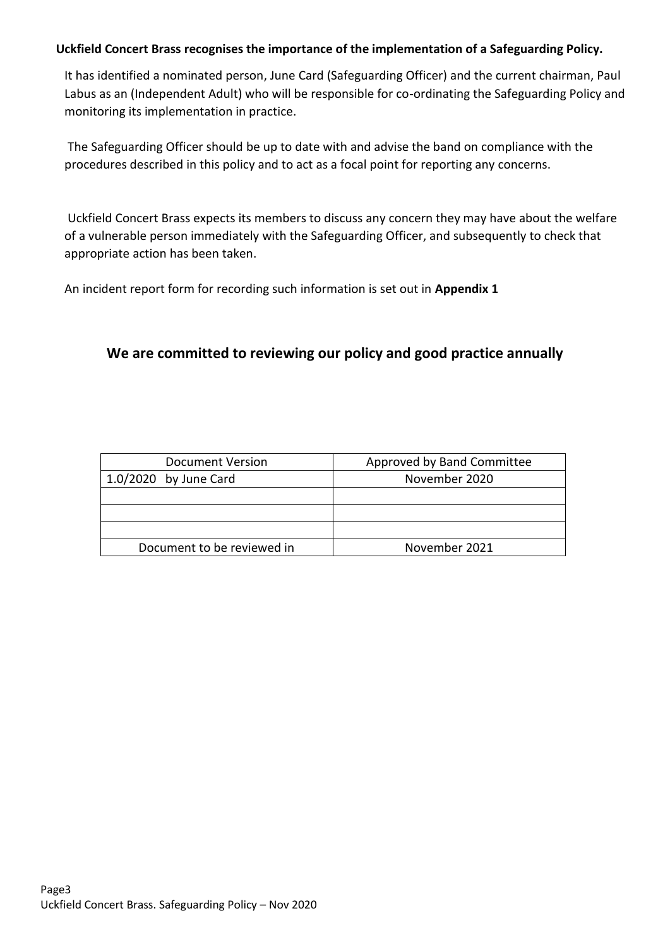#### **Uckfield Concert Brass recognises the importance of the implementation of a Safeguarding Policy.**

It has identified a nominated person, June Card (Safeguarding Officer) and the current chairman, Paul Labus as an (Independent Adult) who will be responsible for co-ordinating the Safeguarding Policy and monitoring its implementation in practice.

The Safeguarding Officer should be up to date with and advise the band on compliance with the procedures described in this policy and to act as a focal point for reporting any concerns.

Uckfield Concert Brass expects its members to discuss any concern they may have about the welfare of a vulnerable person immediately with the Safeguarding Officer, and subsequently to check that appropriate action has been taken.

An incident report form for recording such information is set out in **Appendix 1**

#### **We are committed to reviewing our policy and good practice annually**

| Document Version           | Approved by Band Committee |
|----------------------------|----------------------------|
| $1.0/2020$ by June Card    | November 2020              |
|                            |                            |
|                            |                            |
|                            |                            |
| Document to be reviewed in | November 2021              |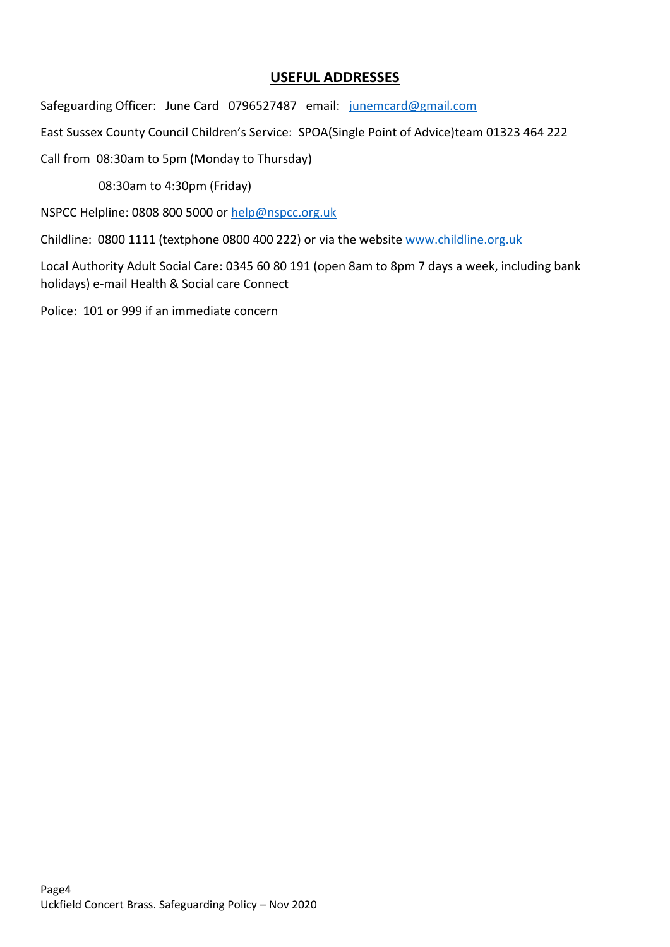#### **USEFUL ADDRESSES**

Safeguarding Officer: June Card 0796527487 email: [junemcard@gmail.com](mailto:junemcard@gmail.com)

East Sussex County Council Children's Service: SPOA(Single Point of Advice)team 01323 464 222

Call from 08:30am to 5pm (Monday to Thursday)

08:30am to 4:30pm (Friday)

NSPCC Helpline: 0808 800 5000 or [help@nspcc.org.uk](mailto:help@nspcc.org.uk)

Childline: 0800 1111 (textphone 0800 400 222) or via the website [www.childline.org.uk](http://www.childline.org.uk/)

Local Authority Adult Social Care: 0345 60 80 191 (open 8am to 8pm 7 days a week, including bank holidays) e-mail Health & Social care Connect

Police: 101 or 999 if an immediate concern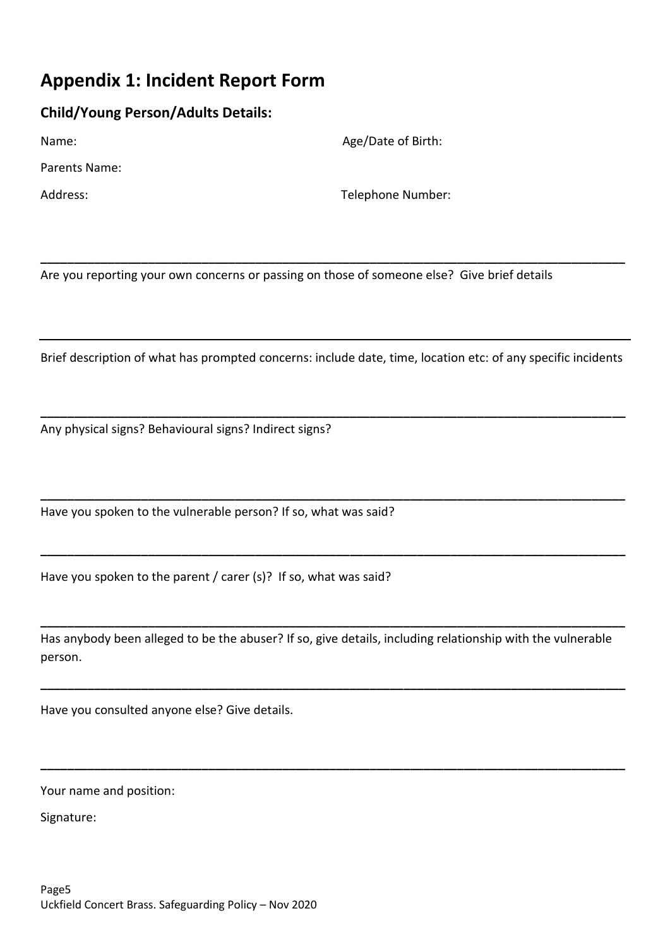### **Appendix 1: Incident Report Form**

#### **Child/Young Person/Adults Details:**

Parents Name:

Name: Name: Age/Date of Birth:

Address: Telephone Number:

Are you reporting your own concerns or passing on those of someone else? Give brief details

Brief description of what has prompted concerns: include date, time, location etc: of any specific incidents

**\_\_\_\_\_\_\_\_\_\_\_\_\_\_\_\_\_\_\_\_\_\_\_\_\_\_\_\_\_\_\_\_\_\_\_\_\_\_\_\_\_\_\_\_\_\_\_\_\_\_\_\_\_\_\_\_\_\_\_\_\_\_\_\_\_\_\_\_\_\_\_\_\_\_\_\_\_\_\_\_\_\_\_\_\_\_\_**

**\_\_\_\_\_\_\_\_\_\_\_\_\_\_\_\_\_\_\_\_\_\_\_\_\_\_\_\_\_\_\_\_\_\_\_\_\_\_\_\_\_\_\_\_\_\_\_\_\_\_\_\_\_\_\_\_\_\_\_\_\_\_\_\_\_\_\_\_\_\_\_\_\_\_\_\_\_\_\_\_\_\_\_\_\_\_\_**

**\_\_\_\_\_\_\_\_\_\_\_\_\_\_\_\_\_\_\_\_\_\_\_\_\_\_\_\_\_\_\_\_\_\_\_\_\_\_\_\_\_\_\_\_\_\_\_\_\_\_\_\_\_\_\_\_\_\_\_\_\_\_\_\_\_\_\_\_\_\_\_\_\_\_\_\_\_\_\_\_\_\_\_\_\_\_\_**

**\_\_\_\_\_\_\_\_\_\_\_\_\_\_\_\_\_\_\_\_\_\_\_\_\_\_\_\_\_\_\_\_\_\_\_\_\_\_\_\_\_\_\_\_\_\_\_\_\_\_\_\_\_\_\_\_\_\_\_\_\_\_\_\_\_\_\_\_\_\_\_\_\_\_\_\_\_\_\_\_\_\_\_\_\_\_\_**

Any physical signs? Behavioural signs? Indirect signs?

Have you spoken to the vulnerable person? If so, what was said?

Have you spoken to the parent / carer (s)? If so, what was said?

Has anybody been alleged to be the abuser? If so, give details, including relationship with the vulnerable person.

**\_\_\_\_\_\_\_\_\_\_\_\_\_\_\_\_\_\_\_\_\_\_\_\_\_\_\_\_\_\_\_\_\_\_\_\_\_\_\_\_\_\_\_\_\_\_\_\_\_\_\_\_\_\_\_\_\_\_\_\_\_\_\_\_\_\_\_\_\_\_\_\_\_\_\_\_\_\_\_\_\_\_\_\_\_\_\_**

**\_\_\_\_\_\_\_\_\_\_\_\_\_\_\_\_\_\_\_\_\_\_\_\_\_\_\_\_\_\_\_\_\_\_\_\_\_\_\_\_\_\_\_\_\_\_\_\_\_\_\_\_\_\_\_\_\_\_\_\_\_\_\_\_\_\_\_\_\_\_\_\_\_\_\_\_\_\_\_\_\_\_\_\_\_\_\_**

**\_\_\_\_\_\_\_\_\_\_\_\_\_\_\_\_\_\_\_\_\_\_\_\_\_\_\_\_\_\_\_\_\_\_\_\_\_\_\_\_\_\_\_\_\_\_\_\_\_\_\_\_\_\_\_\_\_\_\_\_\_\_\_\_\_\_\_\_\_\_\_\_\_\_\_\_\_\_\_\_\_\_\_\_\_\_\_**

Have you consulted anyone else? Give details.

Your name and position:

Signature: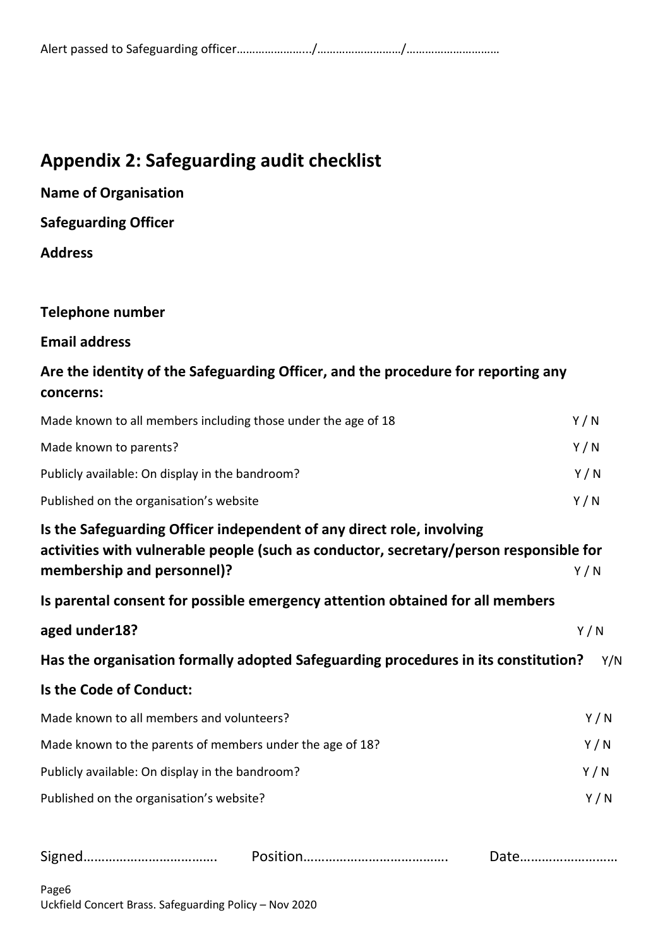## **Appendix 2: Safeguarding audit checklist**

**Name of Organisation Safeguarding Officer Address**

# **Telephone number**

#### **Email address**

### **Are the identity of the Safeguarding Officer, and the procedure for reporting any concerns:**

| Made known to all members including those under the age of 18                                                                                                                                 | Y/N |
|-----------------------------------------------------------------------------------------------------------------------------------------------------------------------------------------------|-----|
| Made known to parents?                                                                                                                                                                        | Y/N |
| Publicly available: On display in the bandroom?                                                                                                                                               | Y/N |
| Published on the organisation's website                                                                                                                                                       | Y/N |
| Is the Safeguarding Officer independent of any direct role, involving<br>activities with vulnerable people (such as conductor, secretary/person responsible for<br>membership and personnel)? | Y/N |
| Is parental consent for possible emergency attention obtained for all members                                                                                                                 |     |
| aged under18?                                                                                                                                                                                 | Y/N |
| Has the organisation formally adopted Safeguarding procedures in its constitution?                                                                                                            | Y/N |
| Is the Code of Conduct:                                                                                                                                                                       |     |
| Made known to all members and volunteers?                                                                                                                                                     | Y/N |
| Made known to the parents of members under the age of 18?                                                                                                                                     | Y/N |
| Publicly available: On display in the bandroom?                                                                                                                                               | Y/N |
| Published on the organisation's website?                                                                                                                                                      | Y/N |
|                                                                                                                                                                                               |     |